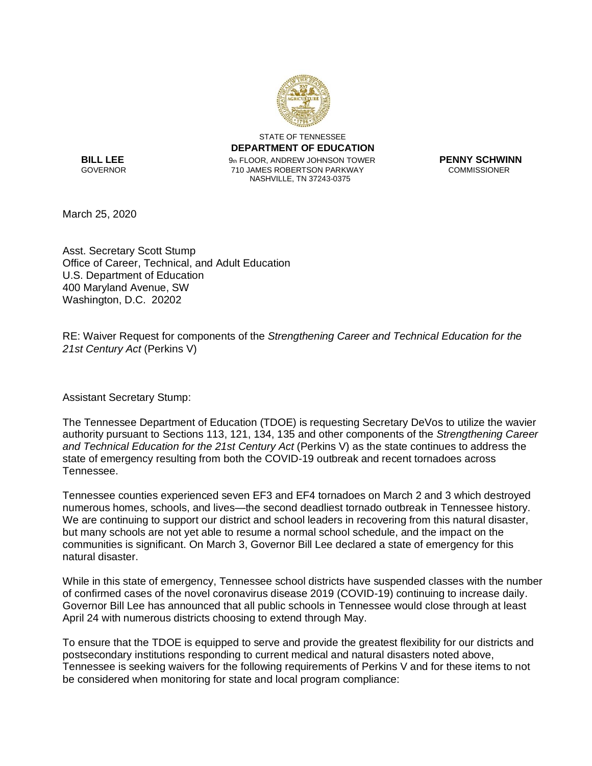

STATE OF TENNESSEE **DEPARTMENT OF EDUCATION BILL LEE** 9th FLOOR, ANDREW JOHNSON TOWER **PENNY SCHWINN** 710 JAMES ROBERTSON PARKWAY NASHVILLE, TN 37243-0375

March 25, 2020

Asst. Secretary Scott Stump Office of Career, Technical, and Adult Education U.S. Department of Education 400 Maryland Avenue, SW Washington, D.C. 20202

RE: Waiver Request for components of the *Strengthening Career and Technical Education for the 21st Century Act* (Perkins V)

Assistant Secretary Stump:

The Tennessee Department of Education (TDOE) is requesting Secretary DeVos to utilize the wavier authority pursuant to Sections 113, 121, 134, 135 and other components of the *Strengthening Career and Technical Education for the 21st Century Act* (Perkins V) as the state continues to address the state of emergency resulting from both the COVID-19 outbreak and recent tornadoes across Tennessee.

Tennessee counties experienced seven EF3 and EF4 tornadoes on March 2 and 3 which destroyed numerous homes, schools, and lives—the second deadliest tornado outbreak in Tennessee history. We are continuing to support our district and school leaders in recovering from this natural disaster, but many schools are not yet able to resume a normal school schedule, and the impact on the communities is significant. On March 3, Governor Bill Lee declared a state of emergency for this natural disaster.

While in this state of emergency, Tennessee school districts have suspended classes with the number of confirmed cases of the novel coronavirus disease 2019 (COVID-19) continuing to increase daily. Governor Bill Lee has announced that all public schools in Tennessee would close through at least April 24 with numerous districts choosing to extend through May.

To ensure that the TDOE is equipped to serve and provide the greatest flexibility for our districts and postsecondary institutions responding to current medical and natural disasters noted above, Tennessee is seeking waivers for the following requirements of Perkins V and for these items to not be considered when monitoring for state and local program compliance: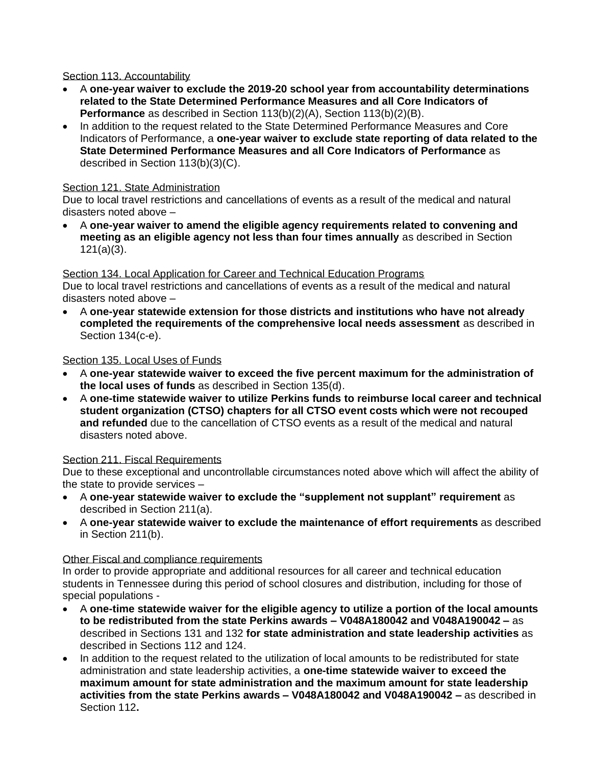## Section 113. Accountability

- A **one-year waiver to exclude the 2019-20 school year from accountability determinations related to the State Determined Performance Measures and all Core Indicators of Performance** as described in Section 113(b)(2)(A), Section 113(b)(2)(B).
- In addition to the request related to the State Determined Performance Measures and Core Indicators of Performance, a **one-year waiver to exclude state reporting of data related to the State Determined Performance Measures and all Core Indicators of Performance** as described in Section 113(b)(3)(C).

## Section 121. State Administration

Due to local travel restrictions and cancellations of events as a result of the medical and natural disasters noted above –

• A **one-year waiver to amend the eligible agency requirements related to convening and meeting as an eligible agency not less than four times annually** as described in Section 121(a)(3).

# Section 134. Local Application for Career and Technical Education Programs

Due to local travel restrictions and cancellations of events as a result of the medical and natural disasters noted above –

• A **one-year statewide extension for those districts and institutions who have not already completed the requirements of the comprehensive local needs assessment** as described in Section 134(c-e).

## Section 135. Local Uses of Funds

- A **one-year statewide waiver to exceed the five percent maximum for the administration of the local uses of funds** as described in Section 135(d).
- A **one-time statewide waiver to utilize Perkins funds to reimburse local career and technical student organization (CTSO) chapters for all CTSO event costs which were not recouped and refunded** due to the cancellation of CTSO events as a result of the medical and natural disasters noted above.

## Section 211. Fiscal Requirements

Due to these exceptional and uncontrollable circumstances noted above which will affect the ability of the state to provide services –

- A **one-year statewide waiver to exclude the "supplement not supplant" requirement** as described in Section 211(a).
- A **one-year statewide waiver to exclude the maintenance of effort requirements** as described in Section 211(b).

## Other Fiscal and compliance requirements

In order to provide appropriate and additional resources for all career and technical education students in Tennessee during this period of school closures and distribution, including for those of special populations -

- A **one-time statewide waiver for the eligible agency to utilize a portion of the local amounts to be redistributed from the state Perkins awards – V048A180042 and V048A190042 –** as described in Sections 131 and 132 **for state administration and state leadership activities** as described in Sections 112 and 124.
- In addition to the request related to the utilization of local amounts to be redistributed for state administration and state leadership activities, a **one-time statewide waiver to exceed the maximum amount for state administration and the maximum amount for state leadership activities from the state Perkins awards – V048A180042 and V048A190042 –** as described in Section 112**.**